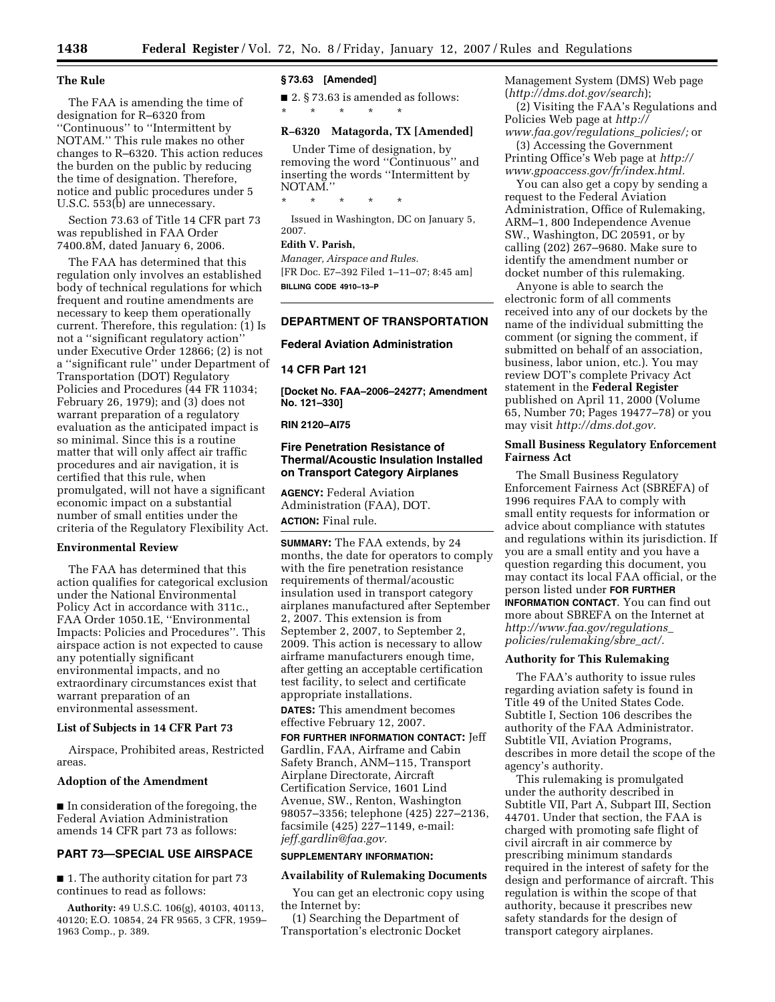#### **The Rule**

The FAA is amending the time of designation for R–6320 from ''Continuous'' to ''Intermittent by NOTAM.'' This rule makes no other changes to R–6320. This action reduces the burden on the public by reducing the time of designation. Therefore, notice and public procedures under 5 U.S.C. 553(b) are unnecessary.

Section 73.63 of Title 14 CFR part 73 was republished in FAA Order 7400.8M, dated January 6, 2006.

The FAA has determined that this regulation only involves an established body of technical regulations for which frequent and routine amendments are necessary to keep them operationally current. Therefore, this regulation: (1) Is not a ''significant regulatory action'' under Executive Order 12866; (2) is not a ''significant rule'' under Department of Transportation (DOT) Regulatory Policies and Procedures (44 FR 11034; February 26, 1979); and (3) does not warrant preparation of a regulatory evaluation as the anticipated impact is so minimal. Since this is a routine matter that will only affect air traffic procedures and air navigation, it is certified that this rule, when promulgated, will not have a significant economic impact on a substantial number of small entities under the criteria of the Regulatory Flexibility Act.

## **Environmental Review**

The FAA has determined that this action qualifies for categorical exclusion under the National Environmental Policy Act in accordance with 311c., FAA Order 1050.1E, ''Environmental Impacts: Policies and Procedures''. This airspace action is not expected to cause any potentially significant environmental impacts, and no extraordinary circumstances exist that warrant preparation of an environmental assessment.

#### **List of Subjects in 14 CFR Part 73**

Airspace, Prohibited areas, Restricted areas.

#### **Adoption of the Amendment**

■ In consideration of the foregoing, the Federal Aviation Administration amends 14 CFR part 73 as follows:

## **PART 73—SPECIAL USE AIRSPACE**

■ 1. The authority citation for part 73 continues to read as follows:

**Authority:** 49 U.S.C. 106(g), 40103, 40113, 40120; E.O. 10854, 24 FR 9565, 3 CFR, 1959– 1963 Comp., p. 389.

## **§ 73.63 [Amended]**

\* \* \* \* \*

■ 2. § 73.63 is amended as follows:

#### **R–6320 Matagorda, TX [Amended]**

Under Time of designation, by removing the word ''Continuous'' and inserting the words ''Intermittent by NOTAM.'' \* \* \* \* \*

Issued in Washington, DC on January 5, 2007.

# **Edith V. Parish,**

*Manager, Airspace and Rules.*  [FR Doc. E7–392 Filed 1–11–07; 8:45 am] **BILLING CODE 4910–13–P** 

# **DEPARTMENT OF TRANSPORTATION**

#### **Federal Aviation Administration**

**14 CFR Part 121** 

**[Docket No. FAA–2006–24277; Amendment No. 121–330]** 

# **RIN 2120–AI75**

## **Fire Penetration Resistance of Thermal/Acoustic Insulation Installed on Transport Category Airplanes**

**AGENCY:** Federal Aviation Administration (FAA), DOT. **ACTION:** Final rule.

**SUMMARY:** The FAA extends, by 24 months, the date for operators to comply with the fire penetration resistance requirements of thermal/acoustic insulation used in transport category airplanes manufactured after September 2, 2007. This extension is from September 2, 2007, to September 2, 2009. This action is necessary to allow airframe manufacturers enough time, after getting an acceptable certification test facility, to select and certificate appropriate installations.

**DATES:** This amendment becomes effective February 12, 2007.

**FOR FURTHER INFORMATION CONTACT:** Jeff Gardlin, FAA, Airframe and Cabin Safety Branch, ANM–115, Transport Airplane Directorate, Aircraft Certification Service, 1601 Lind Avenue, SW., Renton, Washington 98057–3356; telephone (425) 227–2136, facsimile (425) 227–1149, e-mail: *jeff.gardlin@faa.gov.* 

#### **SUPPLEMENTARY INFORMATION:**

#### **Availability of Rulemaking Documents**

You can get an electronic copy using the Internet by:

(1) Searching the Department of Transportation's electronic Docket Management System (DMS) Web page (*http://dms.dot.gov/search*);

(2) Visiting the FAA's Regulations and Policies Web page at *http:// www.faa.gov/regulations*\_*policies/;* or

(3) Accessing the Government Printing Office's Web page at *http:// www.gpoaccess.gov/fr/index.html.* 

You can also get a copy by sending a request to the Federal Aviation Administration, Office of Rulemaking, ARM–1, 800 Independence Avenue SW., Washington, DC 20591, or by calling (202) 267–9680. Make sure to identify the amendment number or docket number of this rulemaking.

Anyone is able to search the electronic form of all comments received into any of our dockets by the name of the individual submitting the comment (or signing the comment, if submitted on behalf of an association, business, labor union, etc.). You may review DOT's complete Privacy Act statement in the **Federal Register**  published on April 11, 2000 (Volume 65, Number 70; Pages 19477–78) or you may visit *http://dms.dot.gov.* 

## **Small Business Regulatory Enforcement Fairness Act**

The Small Business Regulatory Enforcement Fairness Act (SBREFA) of 1996 requires FAA to comply with small entity requests for information or advice about compliance with statutes and regulations within its jurisdiction. If you are a small entity and you have a question regarding this document, you may contact its local FAA official, or the person listed under **FOR FURTHER INFORMATION CONTACT**. You can find out more about SBREFA on the Internet at *http://www.faa.gov/regulations*\_ *policies/rulemaking/sbre*\_*act/.* 

# **Authority for This Rulemaking**

The FAA's authority to issue rules regarding aviation safety is found in Title 49 of the United States Code. Subtitle I, Section 106 describes the authority of the FAA Administrator. Subtitle VII, Aviation Programs, describes in more detail the scope of the agency's authority.

This rulemaking is promulgated under the authority described in Subtitle VII, Part A, Subpart III, Section 44701. Under that section, the FAA is charged with promoting safe flight of civil aircraft in air commerce by prescribing minimum standards required in the interest of safety for the design and performance of aircraft. This regulation is within the scope of that authority, because it prescribes new safety standards for the design of transport category airplanes.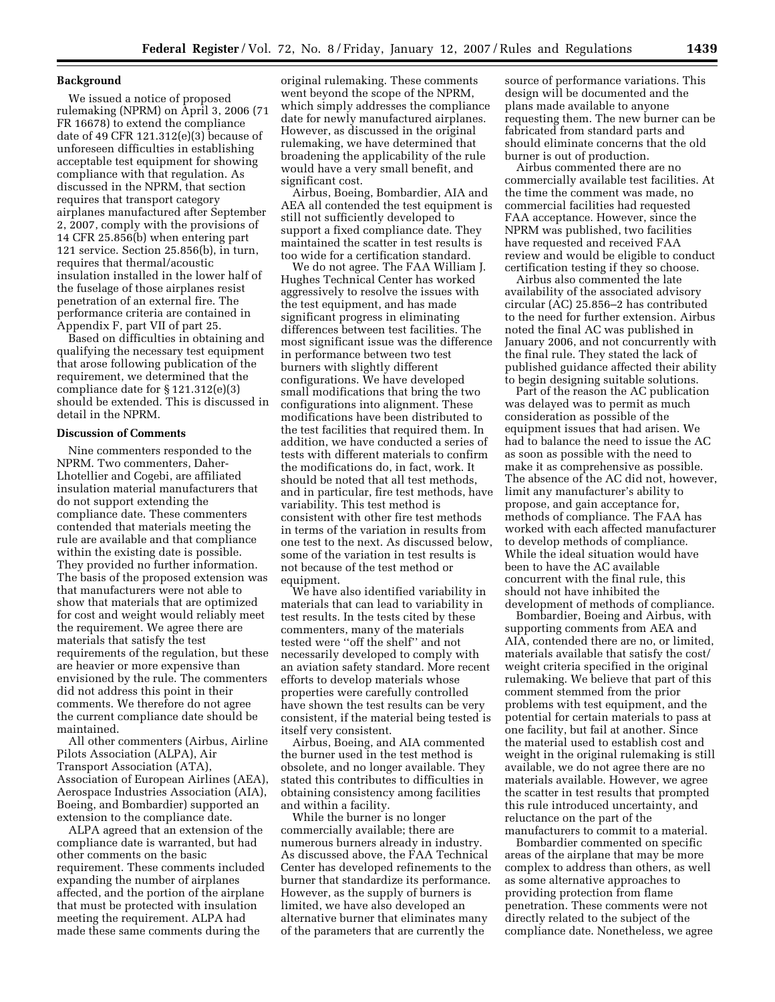#### **Background**

We issued a notice of proposed rulemaking (NPRM) on April 3, 2006 (71 FR 16678) to extend the compliance date of 49 CFR 121.312(e)(3) because of unforeseen difficulties in establishing acceptable test equipment for showing compliance with that regulation. As discussed in the NPRM, that section requires that transport category airplanes manufactured after September 2, 2007, comply with the provisions of 14 CFR 25.856(b) when entering part 121 service. Section 25.856(b), in turn, requires that thermal/acoustic insulation installed in the lower half of the fuselage of those airplanes resist penetration of an external fire. The performance criteria are contained in Appendix F, part VII of part 25.

Based on difficulties in obtaining and qualifying the necessary test equipment that arose following publication of the requirement, we determined that the compliance date for § 121.312(e)(3) should be extended. This is discussed in detail in the NPRM.

## **Discussion of Comments**

Nine commenters responded to the NPRM. Two commenters, Daher-Lhotellier and Cogebi, are affiliated insulation material manufacturers that do not support extending the compliance date. These commenters contended that materials meeting the rule are available and that compliance within the existing date is possible. They provided no further information. The basis of the proposed extension was that manufacturers were not able to show that materials that are optimized for cost and weight would reliably meet the requirement. We agree there are materials that satisfy the test requirements of the regulation, but these are heavier or more expensive than envisioned by the rule. The commenters did not address this point in their comments. We therefore do not agree the current compliance date should be maintained.

All other commenters (Airbus, Airline Pilots Association (ALPA), Air Transport Association (ATA), Association of European Airlines (AEA), Aerospace Industries Association (AIA), Boeing, and Bombardier) supported an extension to the compliance date.

ALPA agreed that an extension of the compliance date is warranted, but had other comments on the basic requirement. These comments included expanding the number of airplanes affected, and the portion of the airplane that must be protected with insulation meeting the requirement. ALPA had made these same comments during the

original rulemaking. These comments went beyond the scope of the NPRM, which simply addresses the compliance date for newly manufactured airplanes. However, as discussed in the original rulemaking, we have determined that broadening the applicability of the rule would have a very small benefit, and significant cost.

Airbus, Boeing, Bombardier, AIA and AEA all contended the test equipment is still not sufficiently developed to support a fixed compliance date. They maintained the scatter in test results is too wide for a certification standard.

We do not agree. The FAA William J. Hughes Technical Center has worked aggressively to resolve the issues with the test equipment, and has made significant progress in eliminating differences between test facilities. The most significant issue was the difference in performance between two test burners with slightly different configurations. We have developed small modifications that bring the two configurations into alignment. These modifications have been distributed to the test facilities that required them. In addition, we have conducted a series of tests with different materials to confirm the modifications do, in fact, work. It should be noted that all test methods, and in particular, fire test methods, have variability. This test method is consistent with other fire test methods in terms of the variation in results from one test to the next. As discussed below, some of the variation in test results is not because of the test method or equipment.

We have also identified variability in materials that can lead to variability in test results. In the tests cited by these commenters, many of the materials tested were ''off the shelf'' and not necessarily developed to comply with an aviation safety standard. More recent efforts to develop materials whose properties were carefully controlled have shown the test results can be very consistent, if the material being tested is itself very consistent.

Airbus, Boeing, and AIA commented the burner used in the test method is obsolete, and no longer available. They stated this contributes to difficulties in obtaining consistency among facilities and within a facility.

While the burner is no longer commercially available; there are numerous burners already in industry. As discussed above, the FAA Technical Center has developed refinements to the burner that standardize its performance. However, as the supply of burners is limited, we have also developed an alternative burner that eliminates many of the parameters that are currently the

source of performance variations. This design will be documented and the plans made available to anyone requesting them. The new burner can be fabricated from standard parts and should eliminate concerns that the old burner is out of production.

Airbus commented there are no commercially available test facilities. At the time the comment was made, no commercial facilities had requested FAA acceptance. However, since the NPRM was published, two facilities have requested and received FAA review and would be eligible to conduct certification testing if they so choose.

Airbus also commented the late availability of the associated advisory circular (AC) 25.856–2 has contributed to the need for further extension. Airbus noted the final AC was published in January 2006, and not concurrently with the final rule. They stated the lack of published guidance affected their ability to begin designing suitable solutions.

Part of the reason the AC publication was delayed was to permit as much consideration as possible of the equipment issues that had arisen. We had to balance the need to issue the AC as soon as possible with the need to make it as comprehensive as possible. The absence of the AC did not, however, limit any manufacturer's ability to propose, and gain acceptance for, methods of compliance. The FAA has worked with each affected manufacturer to develop methods of compliance. While the ideal situation would have been to have the AC available concurrent with the final rule, this should not have inhibited the development of methods of compliance.

Bombardier, Boeing and Airbus, with supporting comments from AEA and AIA, contended there are no, or limited, materials available that satisfy the cost/ weight criteria specified in the original rulemaking. We believe that part of this comment stemmed from the prior problems with test equipment, and the potential for certain materials to pass at one facility, but fail at another. Since the material used to establish cost and weight in the original rulemaking is still available, we do not agree there are no materials available. However, we agree the scatter in test results that prompted this rule introduced uncertainty, and reluctance on the part of the manufacturers to commit to a material.

Bombardier commented on specific areas of the airplane that may be more complex to address than others, as well as some alternative approaches to providing protection from flame penetration. These comments were not directly related to the subject of the compliance date. Nonetheless, we agree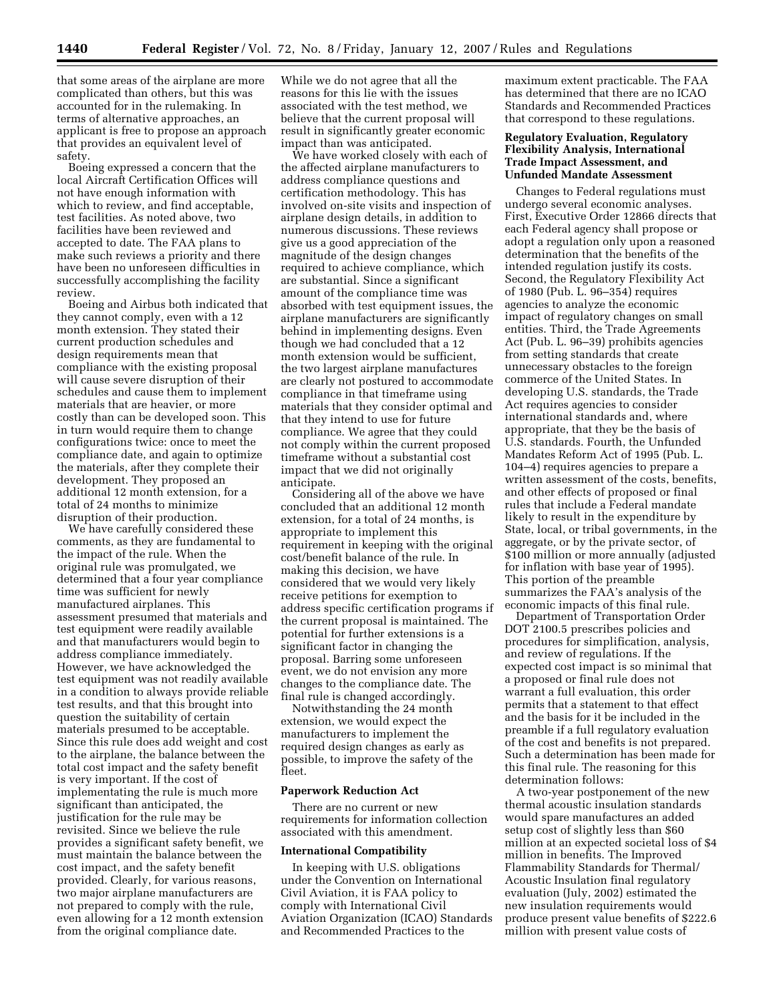that some areas of the airplane are more complicated than others, but this was accounted for in the rulemaking. In terms of alternative approaches, an applicant is free to propose an approach that provides an equivalent level of safety.

Boeing expressed a concern that the local Aircraft Certification Offices will not have enough information with which to review, and find acceptable, test facilities. As noted above, two facilities have been reviewed and accepted to date. The FAA plans to make such reviews a priority and there have been no unforeseen difficulties in successfully accomplishing the facility review.

Boeing and Airbus both indicated that they cannot comply, even with a 12 month extension. They stated their current production schedules and design requirements mean that compliance with the existing proposal will cause severe disruption of their schedules and cause them to implement materials that are heavier, or more costly than can be developed soon. This in turn would require them to change configurations twice: once to meet the compliance date, and again to optimize the materials, after they complete their development. They proposed an additional 12 month extension, for a total of 24 months to minimize disruption of their production.

We have carefully considered these comments, as they are fundamental to the impact of the rule. When the original rule was promulgated, we determined that a four year compliance time was sufficient for newly manufactured airplanes. This assessment presumed that materials and test equipment were readily available and that manufacturers would begin to address compliance immediately. However, we have acknowledged the test equipment was not readily available in a condition to always provide reliable test results, and that this brought into question the suitability of certain materials presumed to be acceptable. Since this rule does add weight and cost to the airplane, the balance between the total cost impact and the safety benefit is very important. If the cost of implementating the rule is much more significant than anticipated, the justification for the rule may be revisited. Since we believe the rule provides a significant safety benefit, we must maintain the balance between the cost impact, and the safety benefit provided. Clearly, for various reasons, two major airplane manufacturers are not prepared to comply with the rule, even allowing for a 12 month extension from the original compliance date.

While we do not agree that all the reasons for this lie with the issues associated with the test method, we believe that the current proposal will result in significantly greater economic impact than was anticipated.

We have worked closely with each of the affected airplane manufacturers to address compliance questions and certification methodology. This has involved on-site visits and inspection of airplane design details, in addition to numerous discussions. These reviews give us a good appreciation of the magnitude of the design changes required to achieve compliance, which are substantial. Since a significant amount of the compliance time was absorbed with test equipment issues, the airplane manufacturers are significantly behind in implementing designs. Even though we had concluded that a 12 month extension would be sufficient, the two largest airplane manufactures are clearly not postured to accommodate compliance in that timeframe using materials that they consider optimal and that they intend to use for future compliance. We agree that they could not comply within the current proposed timeframe without a substantial cost impact that we did not originally anticipate.

Considering all of the above we have concluded that an additional 12 month extension, for a total of 24 months, is appropriate to implement this requirement in keeping with the original cost/benefit balance of the rule. In making this decision, we have considered that we would very likely receive petitions for exemption to address specific certification programs if the current proposal is maintained. The potential for further extensions is a significant factor in changing the proposal. Barring some unforeseen event, we do not envision any more changes to the compliance date. The final rule is changed accordingly.

Notwithstanding the 24 month extension, we would expect the manufacturers to implement the required design changes as early as possible, to improve the safety of the fleet.

### **Paperwork Reduction Act**

There are no current or new requirements for information collection associated with this amendment.

#### **International Compatibility**

In keeping with U.S. obligations under the Convention on International Civil Aviation, it is FAA policy to comply with International Civil Aviation Organization (ICAO) Standards and Recommended Practices to the

maximum extent practicable. The FAA has determined that there are no ICAO Standards and Recommended Practices that correspond to these regulations.

## **Regulatory Evaluation, Regulatory Flexibility Analysis, International Trade Impact Assessment, and Unfunded Mandate Assessment**

Changes to Federal regulations must undergo several economic analyses. First, Executive Order 12866 directs that each Federal agency shall propose or adopt a regulation only upon a reasoned determination that the benefits of the intended regulation justify its costs. Second, the Regulatory Flexibility Act of 1980 (Pub. L. 96–354) requires agencies to analyze the economic impact of regulatory changes on small entities. Third, the Trade Agreements Act (Pub. L. 96–39) prohibits agencies from setting standards that create unnecessary obstacles to the foreign commerce of the United States. In developing U.S. standards, the Trade Act requires agencies to consider international standards and, where appropriate, that they be the basis of U.S. standards. Fourth, the Unfunded Mandates Reform Act of 1995 (Pub. L. 104–4) requires agencies to prepare a written assessment of the costs, benefits, and other effects of proposed or final rules that include a Federal mandate likely to result in the expenditure by State, local, or tribal governments, in the aggregate, or by the private sector, of \$100 million or more annually (adjusted for inflation with base year of 1995). This portion of the preamble summarizes the FAA's analysis of the economic impacts of this final rule.

Department of Transportation Order DOT 2100.5 prescribes policies and procedures for simplification, analysis, and review of regulations. If the expected cost impact is so minimal that a proposed or final rule does not warrant a full evaluation, this order permits that a statement to that effect and the basis for it be included in the preamble if a full regulatory evaluation of the cost and benefits is not prepared. Such a determination has been made for this final rule. The reasoning for this determination follows:

A two-year postponement of the new thermal acoustic insulation standards would spare manufactures an added setup cost of slightly less than \$60 million at an expected societal loss of \$4 million in benefits. The Improved Flammability Standards for Thermal/ Acoustic Insulation final regulatory evaluation (July, 2002) estimated the new insulation requirements would produce present value benefits of \$222.6 million with present value costs of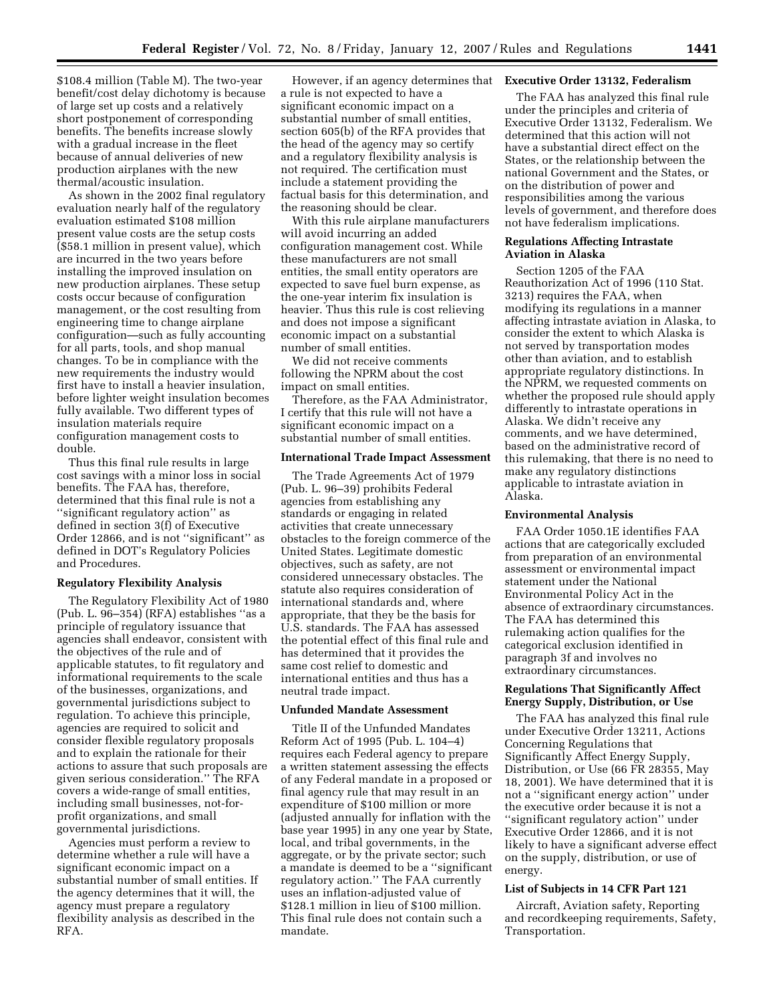\$108.4 million (Table M). The two-year benefit/cost delay dichotomy is because of large set up costs and a relatively short postponement of corresponding benefits. The benefits increase slowly with a gradual increase in the fleet because of annual deliveries of new production airplanes with the new thermal/acoustic insulation.

As shown in the 2002 final regulatory evaluation nearly half of the regulatory evaluation estimated \$108 million present value costs are the setup costs (\$58.1 million in present value), which are incurred in the two years before installing the improved insulation on new production airplanes. These setup costs occur because of configuration management, or the cost resulting from engineering time to change airplane configuration—such as fully accounting for all parts, tools, and shop manual changes. To be in compliance with the new requirements the industry would first have to install a heavier insulation, before lighter weight insulation becomes fully available. Two different types of insulation materials require configuration management costs to double.

Thus this final rule results in large cost savings with a minor loss in social benefits. The FAA has, therefore, determined that this final rule is not a ''significant regulatory action'' as defined in section 3(f) of Executive Order 12866, and is not ''significant'' as defined in DOT's Regulatory Policies and Procedures.

#### **Regulatory Flexibility Analysis**

The Regulatory Flexibility Act of 1980 (Pub. L. 96–354) (RFA) establishes ''as a principle of regulatory issuance that agencies shall endeavor, consistent with the objectives of the rule and of applicable statutes, to fit regulatory and informational requirements to the scale of the businesses, organizations, and governmental jurisdictions subject to regulation. To achieve this principle, agencies are required to solicit and consider flexible regulatory proposals and to explain the rationale for their actions to assure that such proposals are given serious consideration.'' The RFA covers a wide-range of small entities, including small businesses, not-forprofit organizations, and small governmental jurisdictions.

Agencies must perform a review to determine whether a rule will have a significant economic impact on a substantial number of small entities. If the agency determines that it will, the agency must prepare a regulatory flexibility analysis as described in the RFA.

However, if an agency determines that **Executive Order 13132, Federalism**  a rule is not expected to have a significant economic impact on a substantial number of small entities, section 605(b) of the RFA provides that the head of the agency may so certify and a regulatory flexibility analysis is not required. The certification must include a statement providing the factual basis for this determination, and the reasoning should be clear.

With this rule airplane manufacturers will avoid incurring an added configuration management cost. While these manufacturers are not small entities, the small entity operators are expected to save fuel burn expense, as the one-year interim fix insulation is heavier. Thus this rule is cost relieving and does not impose a significant economic impact on a substantial number of small entities.

We did not receive comments following the NPRM about the cost impact on small entities.

Therefore, as the FAA Administrator, I certify that this rule will not have a significant economic impact on a substantial number of small entities.

#### **International Trade Impact Assessment**

The Trade Agreements Act of 1979 (Pub. L. 96–39) prohibits Federal agencies from establishing any standards or engaging in related activities that create unnecessary obstacles to the foreign commerce of the United States. Legitimate domestic objectives, such as safety, are not considered unnecessary obstacles. The statute also requires consideration of international standards and, where appropriate, that they be the basis for U.S. standards. The FAA has assessed the potential effect of this final rule and has determined that it provides the same cost relief to domestic and international entities and thus has a neutral trade impact.

#### **Unfunded Mandate Assessment**

Title II of the Unfunded Mandates Reform Act of 1995 (Pub. L. 104–4) requires each Federal agency to prepare a written statement assessing the effects of any Federal mandate in a proposed or final agency rule that may result in an expenditure of \$100 million or more (adjusted annually for inflation with the base year 1995) in any one year by State, local, and tribal governments, in the aggregate, or by the private sector; such a mandate is deemed to be a ''significant regulatory action.'' The FAA currently uses an inflation-adjusted value of \$128.1 million in lieu of \$100 million. This final rule does not contain such a mandate.

The FAA has analyzed this final rule under the principles and criteria of Executive Order 13132, Federalism. We determined that this action will not have a substantial direct effect on the States, or the relationship between the national Government and the States, or on the distribution of power and responsibilities among the various levels of government, and therefore does not have federalism implications.

#### **Regulations Affecting Intrastate Aviation in Alaska**

Section 1205 of the FAA Reauthorization Act of 1996 (110 Stat. 3213) requires the FAA, when modifying its regulations in a manner affecting intrastate aviation in Alaska, to consider the extent to which Alaska is not served by transportation modes other than aviation, and to establish appropriate regulatory distinctions. In the NPRM, we requested comments on whether the proposed rule should apply differently to intrastate operations in Alaska. We didn't receive any comments, and we have determined, based on the administrative record of this rulemaking, that there is no need to make any regulatory distinctions applicable to intrastate aviation in Alaska.

# **Environmental Analysis**

FAA Order 1050.1E identifies FAA actions that are categorically excluded from preparation of an environmental assessment or environmental impact statement under the National Environmental Policy Act in the absence of extraordinary circumstances. The FAA has determined this rulemaking action qualifies for the categorical exclusion identified in paragraph 3f and involves no extraordinary circumstances.

# **Regulations That Significantly Affect Energy Supply, Distribution, or Use**

The FAA has analyzed this final rule under Executive Order 13211, Actions Concerning Regulations that Significantly Affect Energy Supply, Distribution, or Use (66 FR 28355, May 18, 2001). We have determined that it is not a ''significant energy action'' under the executive order because it is not a ''significant regulatory action'' under Executive Order 12866, and it is not likely to have a significant adverse effect on the supply, distribution, or use of energy.

## **List of Subjects in 14 CFR Part 121**

Aircraft, Aviation safety, Reporting and recordkeeping requirements, Safety, Transportation.